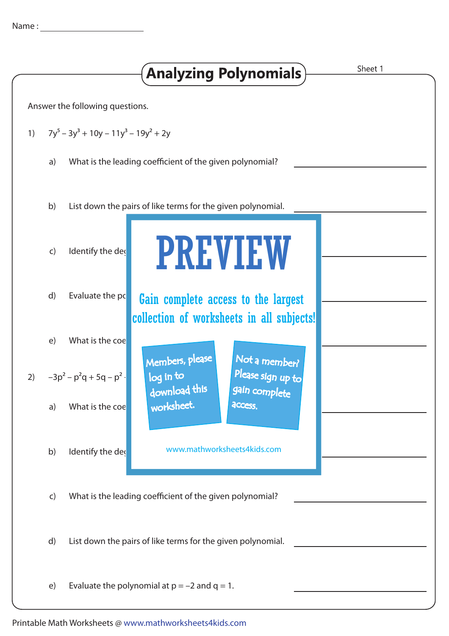